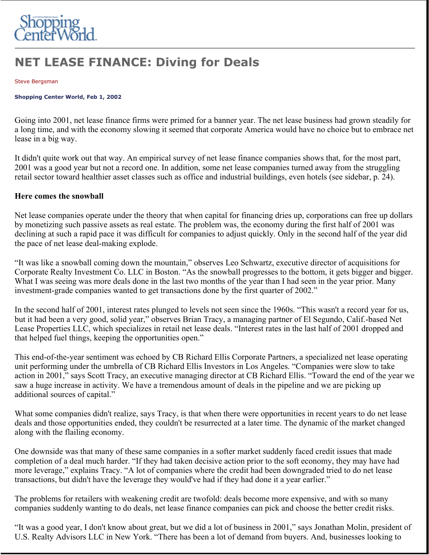

# **NET LEASE FINANCE: Diving for Deals**

#### Steve Bergsman

#### **Shopping Center World, Feb 1, 2002**

Going into 2001, net lease finance firms were primed for a banner year. The net lease business had grown steadily for a long time, and with the economy slowing it seemed that corporate America would have no choice but to embrace net lease in a big way.

It didn't quite work out that way. An empirical survey of net lease finance companies shows that, for the most part, 2001 was a good year but not a record one. In addition, some net lease companies turned away from the struggling retail sector toward healthier asset classes such as office and industrial buildings, even hotels (see sidebar, p. 24).

### **Here comes the snowball**

Net lease companies operate under the theory that when capital for financing dries up, corporations can free up dollars by monetizing such passive assets as real estate. The problem was, the economy during the first half of 2001 was declining at such a rapid pace it was difficult for companies to adjust quickly. Only in the second half of the year did the pace of net lease deal-making explode.

"It was like a snowball coming down the mountain," observes Leo Schwartz, executive director of acquisitions for Corporate Realty Investment Co. LLC in Boston. "As the snowball progresses to the bottom, it gets bigger and bigger. What I was seeing was more deals done in the last two months of the year than I had seen in the year prior. Many investment-grade companies wanted to get transactions done by the first quarter of 2002."

In the second half of 2001, interest rates plunged to levels not seen since the 1960s. "This wasn't a record year for us, but it had been a very good, solid year," observes Brian Tracy, a managing partner of El Segundo, Calif.-based Net Lease Properties LLC, which specializes in retail net lease deals. "Interest rates in the last half of 2001 dropped and that helped fuel things, keeping the opportunities open."

This end-of-the-year sentiment was echoed by CB Richard Ellis Corporate Partners, a specialized net lease operating unit performing under the umbrella of CB Richard Ellis Investors in Los Angeles. "Companies were slow to take action in 2001," says Scott Tracy, an executive managing director at CB Richard Ellis. "Toward the end of the year we saw a huge increase in activity. We have a tremendous amount of deals in the pipeline and we are picking up additional sources of capital."

What some companies didn't realize, says Tracy, is that when there were opportunities in recent years to do net lease deals and those opportunities ended, they couldn't be resurrected at a later time. The dynamic of the market changed along with the flailing economy.

One downside was that many of these same companies in a softer market suddenly faced credit issues that made completion of a deal much harder. "If they had taken decisive action prior to the soft economy, they may have had more leverage," explains Tracy. "A lot of companies where the credit had been downgraded tried to do net lease transactions, but didn't have the leverage they would've had if they had done it a year earlier."

The problems for retailers with weakening credit are twofold: deals become more expensive, and with so many companies suddenly wanting to do deals, net lease finance companies can pick and choose the better credit risks.

"It was a good year, I don't know about great, but we did a lot of business in 2001," says Jonathan Molin, president of U.S. Realty Advisors LLC in New York. "There has been a lot of demand from buyers. And, businesses looking to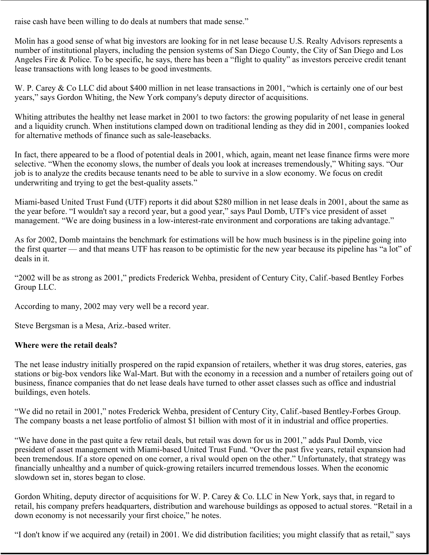raise cash have been willing to do deals at numbers that made sense."

Molin has a good sense of what big investors are looking for in net lease because U.S. Realty Advisors represents a number of institutional players, including the pension systems of San Diego County, the City of San Diego and Los Angeles Fire & Police. To be specific, he says, there has been a "flight to quality" as investors perceive credit tenant lease transactions with long leases to be good investments.

W. P. Carey & Co LLC did about \$400 million in net lease transactions in 2001, "which is certainly one of our best years," says Gordon Whiting, the New York company's deputy director of acquisitions.

Whiting attributes the healthy net lease market in 2001 to two factors: the growing popularity of net lease in general and a liquidity crunch. When institutions clamped down on traditional lending as they did in 2001, companies looked for alternative methods of finance such as sale-leasebacks.

In fact, there appeared to be a flood of potential deals in 2001, which, again, meant net lease finance firms were more selective. "When the economy slows, the number of deals you look at increases tremendously," Whiting says. "Our job is to analyze the credits because tenants need to be able to survive in a slow economy. We focus on credit underwriting and trying to get the best-quality assets."

Miami-based United Trust Fund (UTF) reports it did about \$280 million in net lease deals in 2001, about the same as the year before. "I wouldn't say a record year, but a good year," says Paul Domb, UTF's vice president of asset management. "We are doing business in a low-interest-rate environment and corporations are taking advantage."

As for 2002, Domb maintains the benchmark for estimations will be how much business is in the pipeline going into the first quarter — and that means UTF has reason to be optimistic for the new year because its pipeline has "a lot" of deals in it.

"2002 will be as strong as 2001," predicts Frederick Wehba, president of Century City, Calif.-based Bentley Forbes Group LLC.

According to many, 2002 may very well be a record year.

Steve Bergsman is a Mesa, Ariz.-based writer.

## **Where were the retail deals?**

The net lease industry initially prospered on the rapid expansion of retailers, whether it was drug stores, eateries, gas stations or big-box vendors like Wal-Mart. But with the economy in a recession and a number of retailers going out of business, finance companies that do net lease deals have turned to other asset classes such as office and industrial buildings, even hotels.

"We did no retail in 2001," notes Frederick Wehba, president of Century City, Calif.-based Bentley-Forbes Group. The company boasts a net lease portfolio of almost \$1 billion with most of it in industrial and office properties.

"We have done in the past quite a few retail deals, but retail was down for us in 2001," adds Paul Domb, vice president of asset management with Miami-based United Trust Fund. "Over the past five years, retail expansion had been tremendous. If a store opened on one corner, a rival would open on the other." Unfortunately, that strategy was financially unhealthy and a number of quick-growing retailers incurred tremendous losses. When the economic slowdown set in, stores began to close.

Gordon Whiting, deputy director of acquisitions for W. P. Carey & Co. LLC in New York, says that, in regard to retail, his company prefers headquarters, distribution and warehouse buildings as opposed to actual stores. "Retail in a down economy is not necessarily your first choice," he notes.

"I don't know if we acquired any (retail) in 2001. We did distribution facilities; you might classify that as retail," says